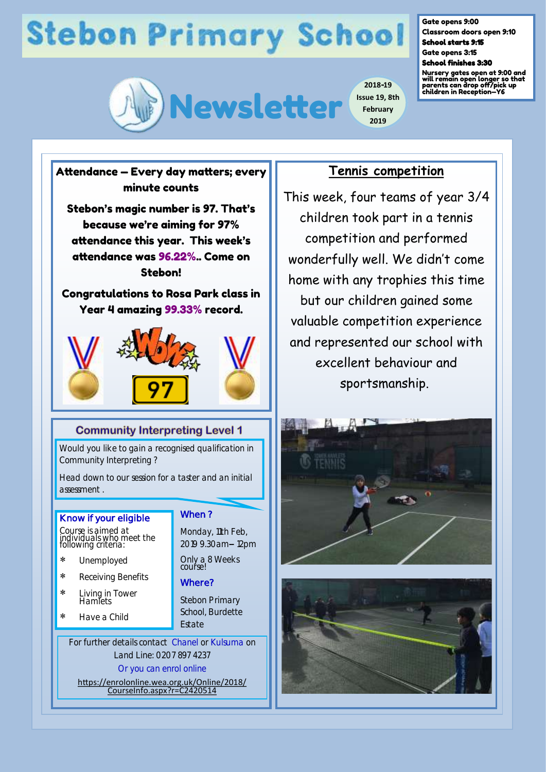# **Stebon Primary School**



Gate opens 9:00 Classroom doors open 9:10

School starts 9:15 Gate opens 3:15 School finishes 3:30

Nursery gates open at 9:00 and will remain open longer so that parents can drop off/pick up children in Reception—Y6

## Attendance — Every day matters; every minute counts Stebon's magic number is 97. That's because we're aiming for 97%

attendance this year. This week's attendance was 96.22%.. Come on Stebon!

Congratulations to Rosa Park class in Year 4 amazing 99.33% record.



### **Community Interpreting Level 1**

Would you like to gain a recognised qualification in Community Interpreting ?

Head down to our session for a taster and an initial assessment .

#### **Know if your eligible**

Course is aimed at individuals who meet the following criteria:

- Unemployed
- \* Receiving Benefits
- Living in Tower **Hamlets**
- Have a Child

**When ?** 

Monday, 11th Feb, 2019 9.30am– 12pm

Only a 8 Weeks course!

#### **Where?**

Stebon Primary School, Burdette Estate

For further details contact Chanel or Kulsuma on Land Line: 0207 897 4237

Or you can enrol online

[https://enrolonline.wea.org.uk/Online/2018/](https://enrolonline.wea.org.uk/Online/2018/CourseInfo.aspx?r=C2420514) [CourseInfo.aspx?r=C2420514](https://enrolonline.wea.org.uk/Online/2018/CourseInfo.aspx?r=C2420514)

### **Tennis competition**

**2019**

This week, four teams of year 3/4 children took part in a tennis competition and performed wonderfully well. We didn't come home with any trophies this time but our children gained some valuable competition experience and represented our school with excellent behaviour and sportsmanship.